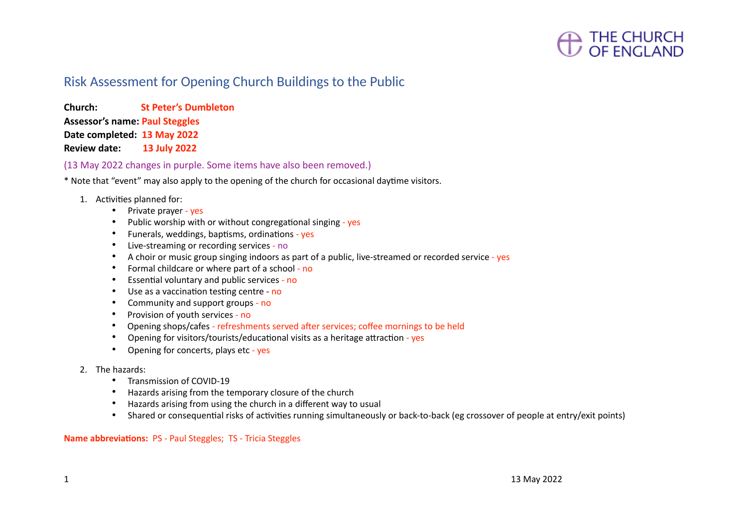### Risk Assessment for Opening Church Buildings to the Public

**Church: St Peter's Dumbleton Assessor's name: Paul Steggles Date completed: 13 May 2022 Review date: 13 July 2022**

(13 May 2022 changes in purple. Some items have also been removed.)

\* Note that "event" may also apply to the opening of the church for occasional daytime visitors.

- 1. Activities planned for:
	- Private prayer yes
	- Public worship with or without congregational singing yes
	- Funerals, weddings, baptisms, ordinations yes
	- Live-streaming or recording services no
	- A choir or music group singing indoors as part of a public, live-streamed or recorded service yes
	- Formal childcare or where part of a school no
	- Essential voluntary and public services no
	- Use as a vaccination testing centre no
	- Community and support groups no
	- Provision of youth services no
	- Opening shops/cafes refreshments served after services; coffee mornings to be held
	- Opening for visitors/tourists/educational visits as a heritage attraction yes
	- Opening for concerts, plays etc yes
- 2. The hazards:
	- Transmission of COVID-19
	- Hazards arising from the temporary closure of the church
	- Hazards arising from using the church in a different way to usual
	- Shared or consequential risks of activities running simultaneously or back-to-back (eg crossover of people at entry/exit points)

**Name abbreviations:**PS - Paul Steggles; TS - Tricia Steggles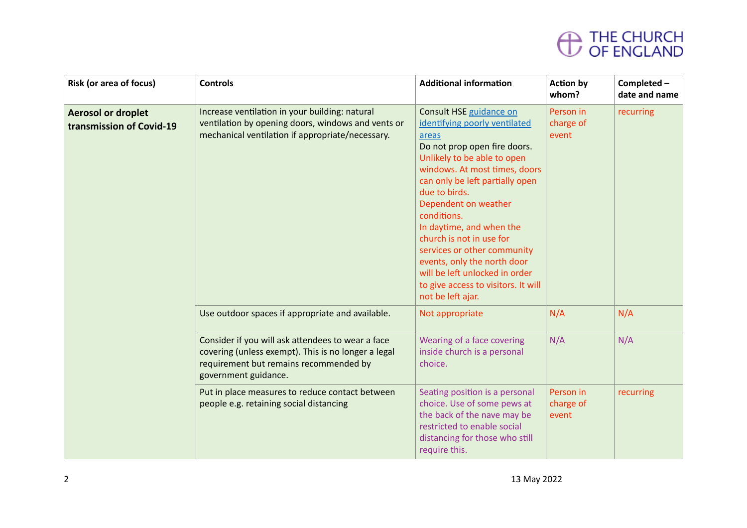| <b>Risk (or area of focus)</b>                        | <b>Controls</b>                                                                                                                                                            | <b>Additional information</b>                                                                                                                                                                                                                                                                                                                                                                                                                                                    | <b>Action by</b><br>whom?       | Completed -<br>date and name |
|-------------------------------------------------------|----------------------------------------------------------------------------------------------------------------------------------------------------------------------------|----------------------------------------------------------------------------------------------------------------------------------------------------------------------------------------------------------------------------------------------------------------------------------------------------------------------------------------------------------------------------------------------------------------------------------------------------------------------------------|---------------------------------|------------------------------|
| <b>Aerosol or droplet</b><br>transmission of Covid-19 | Increase ventilation in your building: natural<br>ventilation by opening doors, windows and vents or<br>mechanical ventilation if appropriate/necessary.                   | Consult HSE guidance on<br>identifying poorly ventilated<br>areas<br>Do not prop open fire doors.<br>Unlikely to be able to open<br>windows. At most times, doors<br>can only be left partially open<br>due to birds.<br>Dependent on weather<br>conditions.<br>In daytime, and when the<br>church is not in use for<br>services or other community<br>events, only the north door<br>will be left unlocked in order<br>to give access to visitors. It will<br>not be left ajar. | Person in<br>charge of<br>event | recurring                    |
|                                                       | Use outdoor spaces if appropriate and available.                                                                                                                           | Not appropriate                                                                                                                                                                                                                                                                                                                                                                                                                                                                  | N/A                             | N/A                          |
|                                                       | Consider if you will ask attendees to wear a face<br>covering (unless exempt). This is no longer a legal<br>requirement but remains recommended by<br>government guidance. | Wearing of a face covering<br>inside church is a personal<br>choice.                                                                                                                                                                                                                                                                                                                                                                                                             | N/A                             | N/A                          |
|                                                       | Put in place measures to reduce contact between<br>people e.g. retaining social distancing                                                                                 | Seating position is a personal<br>choice. Use of some pews at<br>the back of the nave may be<br>restricted to enable social<br>distancing for those who still<br>require this.                                                                                                                                                                                                                                                                                                   | Person in<br>charge of<br>event | recurring                    |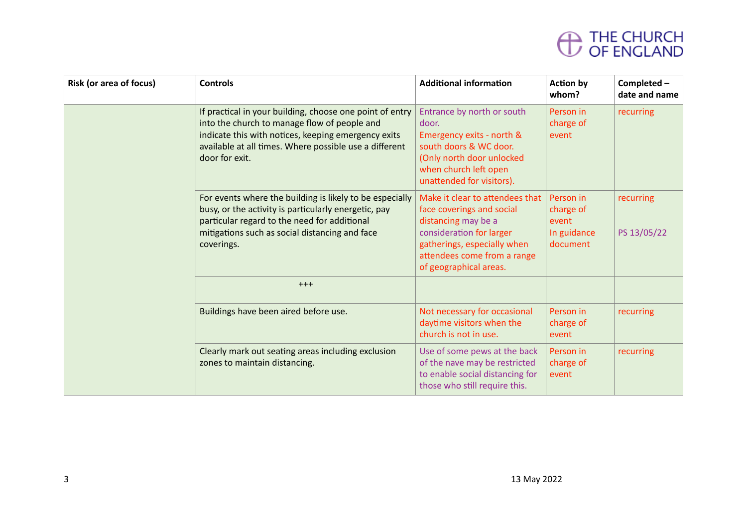| <b>Risk (or area of focus)</b> | <b>Controls</b>                                                                                                                                                                                                                             | <b>Additional information</b>                                                                                                                                                                           | <b>Action by</b><br>whom?                                  | Completed -<br>date and name |
|--------------------------------|---------------------------------------------------------------------------------------------------------------------------------------------------------------------------------------------------------------------------------------------|---------------------------------------------------------------------------------------------------------------------------------------------------------------------------------------------------------|------------------------------------------------------------|------------------------------|
|                                | If practical in your building, choose one point of entry<br>into the church to manage flow of people and<br>indicate this with notices, keeping emergency exits<br>available at all times. Where possible use a different<br>door for exit. | Entrance by north or south<br>door.<br>Emergency exits - north &<br>south doors & WC door.<br>(Only north door unlocked<br>when church left open<br>unattended for visitors).                           | Person in<br>charge of<br>event                            | recurring                    |
|                                | For events where the building is likely to be especially<br>busy, or the activity is particularly energetic, pay<br>particular regard to the need for additional<br>mitigations such as social distancing and face<br>coverings.            | Make it clear to attendees that<br>face coverings and social<br>distancing may be a<br>consideration for larger<br>gatherings, especially when<br>attendees come from a range<br>of geographical areas. | Person in<br>charge of<br>event<br>In guidance<br>document | recurring<br>PS 13/05/22     |
|                                | $+++$                                                                                                                                                                                                                                       |                                                                                                                                                                                                         |                                                            |                              |
|                                | Buildings have been aired before use.                                                                                                                                                                                                       | Not necessary for occasional<br>daytime visitors when the<br>church is not in use.                                                                                                                      | Person in<br>charge of<br>event                            | recurring                    |
|                                | Clearly mark out seating areas including exclusion<br>zones to maintain distancing.                                                                                                                                                         | Use of some pews at the back<br>of the nave may be restricted<br>to enable social distancing for<br>those who still require this.                                                                       | Person in<br>charge of<br>event                            | recurring                    |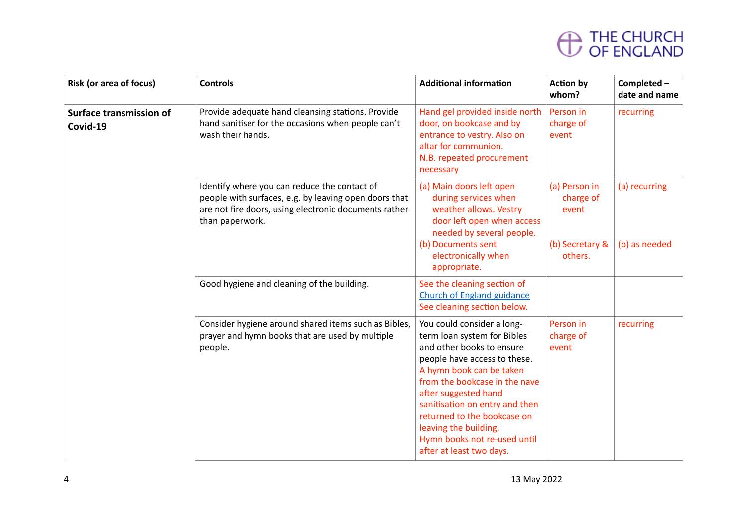| <b>Risk (or area of focus)</b>             | <b>Controls</b>                                                                                                                                                                   | <b>Additional information</b>                                                                                                                                                                                                                                                                                                                                     | <b>Action by</b><br>whom?                                         | Completed -<br>date and name   |
|--------------------------------------------|-----------------------------------------------------------------------------------------------------------------------------------------------------------------------------------|-------------------------------------------------------------------------------------------------------------------------------------------------------------------------------------------------------------------------------------------------------------------------------------------------------------------------------------------------------------------|-------------------------------------------------------------------|--------------------------------|
| <b>Surface transmission of</b><br>Covid-19 | Provide adequate hand cleansing stations. Provide<br>hand sanitiser for the occasions when people can't<br>wash their hands.                                                      | Hand gel provided inside north<br>door, on bookcase and by<br>entrance to vestry. Also on<br>altar for communion.<br>N.B. repeated procurement<br>necessary                                                                                                                                                                                                       | Person in<br>charge of<br>event                                   | recurring                      |
|                                            | Identify where you can reduce the contact of<br>people with surfaces, e.g. by leaving open doors that<br>are not fire doors, using electronic documents rather<br>than paperwork. | (a) Main doors left open<br>during services when<br>weather allows. Vestry<br>door left open when access<br>needed by several people.<br>(b) Documents sent<br>electronically when<br>appropriate.                                                                                                                                                                | (a) Person in<br>charge of<br>event<br>(b) Secretary &<br>others. | (a) recurring<br>(b) as needed |
|                                            | Good hygiene and cleaning of the building.                                                                                                                                        | See the cleaning section of<br><b>Church of England guidance</b><br>See cleaning section below.                                                                                                                                                                                                                                                                   |                                                                   |                                |
|                                            | Consider hygiene around shared items such as Bibles,<br>prayer and hymn books that are used by multiple<br>people.                                                                | You could consider a long-<br>term loan system for Bibles<br>and other books to ensure<br>people have access to these.<br>A hymn book can be taken<br>from the bookcase in the nave<br>after suggested hand<br>sanitisation on entry and then<br>returned to the bookcase on<br>leaving the building.<br>Hymn books not re-used until<br>after at least two days. | Person in<br>charge of<br>event                                   | recurring                      |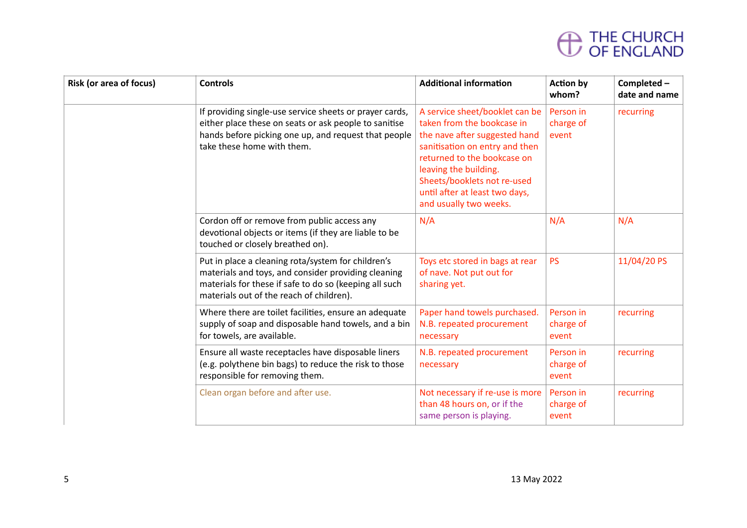| <b>Risk (or area of focus)</b> | <b>Controls</b>                                                                                                                                                                                                 | <b>Additional information</b>                                                                                                                                                                                                                                                      | <b>Action by</b><br>whom?       | Completed -<br>date and name |
|--------------------------------|-----------------------------------------------------------------------------------------------------------------------------------------------------------------------------------------------------------------|------------------------------------------------------------------------------------------------------------------------------------------------------------------------------------------------------------------------------------------------------------------------------------|---------------------------------|------------------------------|
|                                | If providing single-use service sheets or prayer cards,<br>either place these on seats or ask people to sanitise<br>hands before picking one up, and request that people<br>take these home with them.          | A service sheet/booklet can be<br>taken from the bookcase in<br>the nave after suggested hand<br>sanitisation on entry and then<br>returned to the bookcase on<br>leaving the building.<br>Sheets/booklets not re-used<br>until after at least two days,<br>and usually two weeks. | Person in<br>charge of<br>event | recurring                    |
|                                | Cordon off or remove from public access any<br>devotional objects or items (if they are liable to be<br>touched or closely breathed on).                                                                        | N/A                                                                                                                                                                                                                                                                                | N/A                             | N/A                          |
|                                | Put in place a cleaning rota/system for children's<br>materials and toys, and consider providing cleaning<br>materials for these if safe to do so (keeping all such<br>materials out of the reach of children). | Toys etc stored in bags at rear<br>of nave. Not put out for<br>sharing yet.                                                                                                                                                                                                        | <b>PS</b>                       | 11/04/20 PS                  |
|                                | Where there are toilet facilities, ensure an adequate<br>supply of soap and disposable hand towels, and a bin<br>for towels, are available.                                                                     | Paper hand towels purchased.<br>N.B. repeated procurement<br>necessary                                                                                                                                                                                                             | Person in<br>charge of<br>event | recurring                    |
|                                | Ensure all waste receptacles have disposable liners<br>(e.g. polythene bin bags) to reduce the risk to those<br>responsible for removing them.                                                                  | N.B. repeated procurement<br>necessary                                                                                                                                                                                                                                             | Person in<br>charge of<br>event | recurring                    |
|                                | Clean organ before and after use.                                                                                                                                                                               | Not necessary if re-use is more<br>than 48 hours on, or if the<br>same person is playing.                                                                                                                                                                                          | Person in<br>charge of<br>event | recurring                    |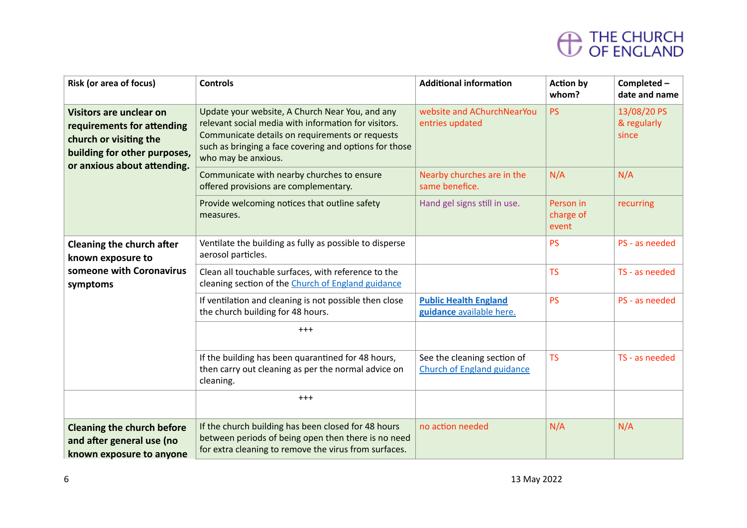| <b>Risk (or area of focus)</b>                                                                                                                        | <b>Controls</b>                                                                                                                                                                                                                             | <b>Additional information</b>                                    | <b>Action by</b><br>whom?       | Completed-<br>date and name         |
|-------------------------------------------------------------------------------------------------------------------------------------------------------|---------------------------------------------------------------------------------------------------------------------------------------------------------------------------------------------------------------------------------------------|------------------------------------------------------------------|---------------------------------|-------------------------------------|
| <b>Visitors are unclear on</b><br>requirements for attending<br>church or visiting the<br>building for other purposes,<br>or anxious about attending. | Update your website, A Church Near You, and any<br>relevant social media with information for visitors.<br>Communicate details on requirements or requests<br>such as bringing a face covering and options for those<br>who may be anxious. | website and AChurchNearYou<br>entries updated                    | <b>PS</b>                       | 13/08/20 PS<br>& regularly<br>since |
|                                                                                                                                                       | Communicate with nearby churches to ensure<br>offered provisions are complementary.                                                                                                                                                         | Nearby churches are in the<br>same benefice.                     | N/A                             | N/A                                 |
|                                                                                                                                                       | Provide welcoming notices that outline safety<br>measures.                                                                                                                                                                                  | Hand gel signs still in use.                                     | Person in<br>charge of<br>event | recurring                           |
| <b>Cleaning the church after</b><br>known exposure to<br>someone with Coronavirus<br>symptoms                                                         | Ventilate the building as fully as possible to disperse<br>aerosol particles.                                                                                                                                                               |                                                                  | <b>PS</b>                       | PS - as needed                      |
|                                                                                                                                                       | Clean all touchable surfaces, with reference to the<br>cleaning section of the Church of England guidance                                                                                                                                   |                                                                  | <b>TS</b>                       | TS - as needed                      |
|                                                                                                                                                       | If ventilation and cleaning is not possible then close<br>the church building for 48 hours.                                                                                                                                                 | <b>Public Health England</b><br>guidance available here.         | <b>PS</b>                       | PS - as needed                      |
|                                                                                                                                                       | $^{+++}$                                                                                                                                                                                                                                    |                                                                  |                                 |                                     |
|                                                                                                                                                       | If the building has been quarantined for 48 hours,<br>then carry out cleaning as per the normal advice on<br>cleaning.                                                                                                                      | See the cleaning section of<br><b>Church of England guidance</b> | <b>TS</b>                       | TS - as needed                      |
|                                                                                                                                                       | $^{+++}$                                                                                                                                                                                                                                    |                                                                  |                                 |                                     |
| <b>Cleaning the church before</b><br>and after general use (no<br>known exposure to anyone                                                            | If the church building has been closed for 48 hours<br>between periods of being open then there is no need<br>for extra cleaning to remove the virus from surfaces.                                                                         | no action needed                                                 | N/A                             | N/A                                 |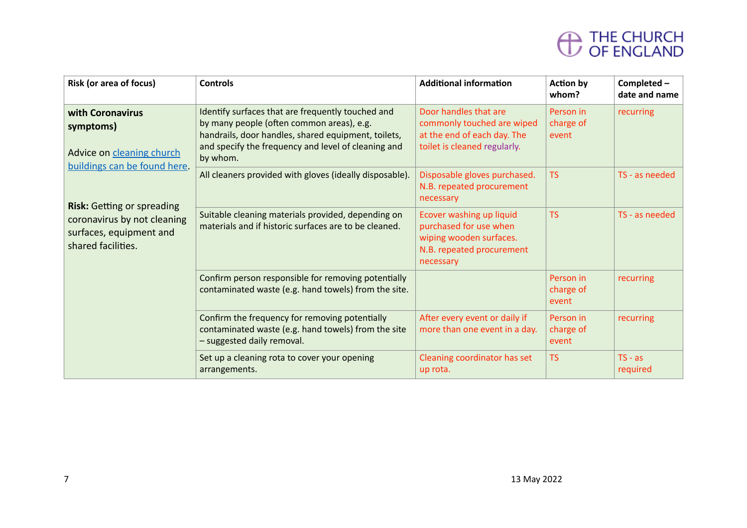| <b>Risk (or area of focus)</b>                                                                                                                                                                                  | <b>Controls</b>                                                                                                                                                                                                          | <b>Additional information</b>                                                                                           | <b>Action by</b><br>whom?       | Completed -<br>date and name |
|-----------------------------------------------------------------------------------------------------------------------------------------------------------------------------------------------------------------|--------------------------------------------------------------------------------------------------------------------------------------------------------------------------------------------------------------------------|-------------------------------------------------------------------------------------------------------------------------|---------------------------------|------------------------------|
| with Coronavirus<br>symptoms)<br>Advice on cleaning church<br>buildings can be found here.<br><b>Risk: Getting or spreading</b><br>coronavirus by not cleaning<br>surfaces, equipment and<br>shared facilities. | Identify surfaces that are frequently touched and<br>by many people (often common areas), e.g.<br>handrails, door handles, shared equipment, toilets,<br>and specify the frequency and level of cleaning and<br>by whom. | Door handles that are<br>commonly touched are wiped<br>at the end of each day. The<br>toilet is cleaned regularly.      | Person in<br>charge of<br>event | recurring                    |
|                                                                                                                                                                                                                 | All cleaners provided with gloves (ideally disposable).                                                                                                                                                                  | Disposable gloves purchased.<br>N.B. repeated procurement<br>necessary                                                  | <b>TS</b>                       | TS - as needed               |
|                                                                                                                                                                                                                 | Suitable cleaning materials provided, depending on<br>materials and if historic surfaces are to be cleaned.                                                                                                              | Ecover washing up liquid<br>purchased for use when<br>wiping wooden surfaces.<br>N.B. repeated procurement<br>necessary | <b>TS</b>                       | TS - as needed               |
|                                                                                                                                                                                                                 | Confirm person responsible for removing potentially<br>contaminated waste (e.g. hand towels) from the site.                                                                                                              |                                                                                                                         | Person in<br>charge of<br>event | recurring                    |
|                                                                                                                                                                                                                 | Confirm the frequency for removing potentially<br>contaminated waste (e.g. hand towels) from the site<br>- suggested daily removal.                                                                                      | After every event or daily if<br>more than one event in a day.                                                          | Person in<br>charge of<br>event | recurring                    |
|                                                                                                                                                                                                                 | Set up a cleaning rota to cover your opening<br>arrangements.                                                                                                                                                            | Cleaning coordinator has set<br>up rota.                                                                                | <b>TS</b>                       | $TS - as$<br>required        |